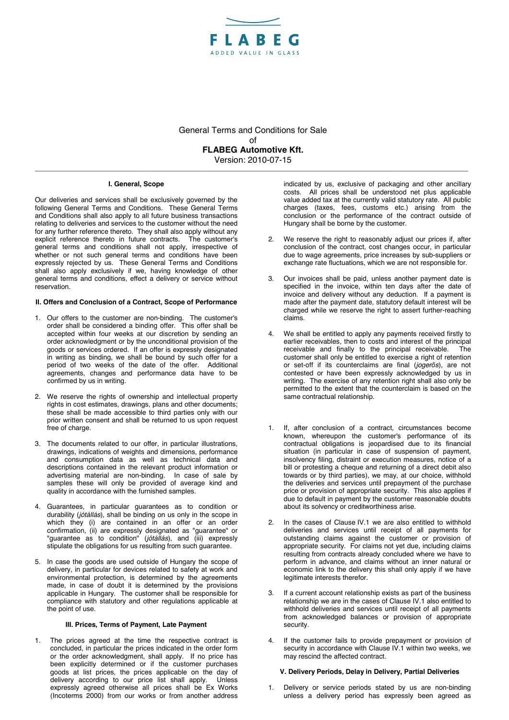

General Terms and Conditions for Sale of **FLABEG Automotive Kft.**  Version: 2010-07-15

**\_\_\_\_\_\_\_\_\_\_\_\_\_\_\_\_\_\_\_\_\_\_\_\_\_\_\_\_\_\_\_\_\_\_\_\_\_\_\_\_\_\_\_\_\_\_\_\_\_\_\_\_\_\_\_\_\_\_\_\_\_\_\_\_\_\_\_\_\_\_\_\_\_\_\_\_\_\_\_\_\_\_\_\_\_\_\_\_\_\_\_\_\_\_\_\_\_\_\_\_\_\_\_\_\_\_\_\_\_\_\_\_\_\_** 

### **I. General, Scope**

Our deliveries and services shall be exclusively governed by the following General Terms and Conditions. These General Terms and Conditions shall also apply to all future business transactions relating to deliveries and services to the customer without the need for any further reference thereto. They shall also apply without any explicit reference thereto in future contracts. The customer's general terms and conditions shall not apply, irrespective of whether or not such general terms and conditions have been expressly rejected by us. These General Terms and Conditions shall also apply exclusively if we, having knowledge of other general terms and conditions, effect a delivery or service without **reservation** 

### **II. Offers and Conclusion of a Contract, Scope of Performance**

- 1. Our offers to the customer are non-binding. The customer's order shall be considered a binding offer. This offer shall be accepted within four weeks at our discretion by sending an order acknowledgment or by the unconditional provision of the goods or services ordered. If an offer is expressly designated in writing as binding, we shall be bound by such offer for a period of two weeks of the date of the offer. Additional agreements, changes and performance data have to be confirmed by us in writing.
- 2. We reserve the rights of ownership and intellectual property rights in cost estimates, drawings, plans and other documents; these shall be made accessible to third parties only with our prior written consent and shall be returned to us upon request free of charge.
- 3. The documents related to our offer, in particular illustrations, drawings, indications of weights and dimensions, performance and consumption data as well as technical data and descriptions contained in the relevant product information or advertising material are non-binding. In case of sale by samples these will only be provided of average kind and quality in accordance with the furnished samples.
- 4. Guarantees, in particular guarantees as to condition or durability (*jótállás*), shall be binding on us only in the scope in which they (i) are contained in an offer or an order confirmation, (ii) are expressly designated as "guarantee" or "guarantee as to condition" (*jótállás*), and (iii) expressly stipulate the obligations for us resulting from such guarantee.
- 5. In case the goods are used outside of Hungary the scope of delivery, in particular for devices related to safety at work and environmental protection, is determined by the agreements made, in case of doubt it is determined by the provisions applicable in Hungary. The customer shall be responsible for compliance with statutory and other regulations applicable at the point of use.

## **III. Prices, Terms of Payment, Late Payment**

The prices agreed at the time the respective contract is concluded, in particular the prices indicated in the order form or the order acknowledgment, shall apply. If no price has been explicitly determined or if the customer purchases goods at list prices, the prices applicable on the day of delivery according to our price list shall apply. Unless expressly agreed otherwise all prices shall be Ex Works (Incoterms 2000) from our works or from another address

indicated by us, exclusive of packaging and other ancillary costs. All prices shall be understood net plus applicable value added tax at the currently valid statutory rate. All public charges (taxes, fees, customs etc.) arising from the conclusion or the performance of the contract outside of Hungary shall be borne by the customer.

- 2. We reserve the right to reasonably adjust our prices if, after conclusion of the contract, cost changes occur, in particular due to wage agreements, price increases by sub-suppliers or exchange rate fluctuations, which we are not responsible for.
- 3. Our invoices shall be paid, unless another payment date is specified in the invoice, within ten days after the date of invoice and delivery without any deduction. If a payment is made after the payment date, statutory default interest will be charged while we reserve the right to assert further-reaching claims.
- We shall be entitled to apply any payments received firstly to earlier receivables, then to costs and interest of the principal<br>receivable, and finally to the principal receivable. The receivable and finally to the principal receivable. customer shall only be entitled to exercise a right of retention or set-off if its counterclaims are final (*jogerős*), are not contested or have been expressly acknowledged by us in writing. The exercise of any retention right shall also only be permitted to the extent that the counterclaim is based on the same contractual relationship.
- 1. If, after conclusion of a contract, circumstances become known, whereupon the customer's performance of its contractual obligations is jeopardised due to its financial situation (in particular in case of suspension of payment, insolvency filing, distraint or execution measures, notice of a bill or protesting a cheque and returning of a direct debit also towards or by third parties), we may, at our choice, withhold the deliveries and services until prepayment of the purchase price or provision of appropriate security. This also applies if due to default in payment by the customer reasonable doubts about its solvency or creditworthiness arise.
- 2. In the cases of Clause IV.1 we are also entitled to withhold deliveries and services until receipt of all payments for outstanding claims against the customer or provision of appropriate security. For claims not yet due, including claims resulting from contracts already concluded where we have to perform in advance, and claims without an inner natural or economic link to the delivery this shall only apply if we have legitimate interests therefor.
- If a current account relationship exists as part of the business relationship we are in the cases of Clause IV.1 also entitled to withhold deliveries and services until receipt of all payments from acknowledged balances or provision of appropriate security.
- If the customer fails to provide prepayment or provision of security in accordance with Clause IV.1 within two weeks, we may rescind the affected contract.

## **V. Delivery Periods, Delay in Delivery, Partial Deliveries**

1. Delivery or service periods stated by us are non-binding unless a delivery period has expressly been agreed as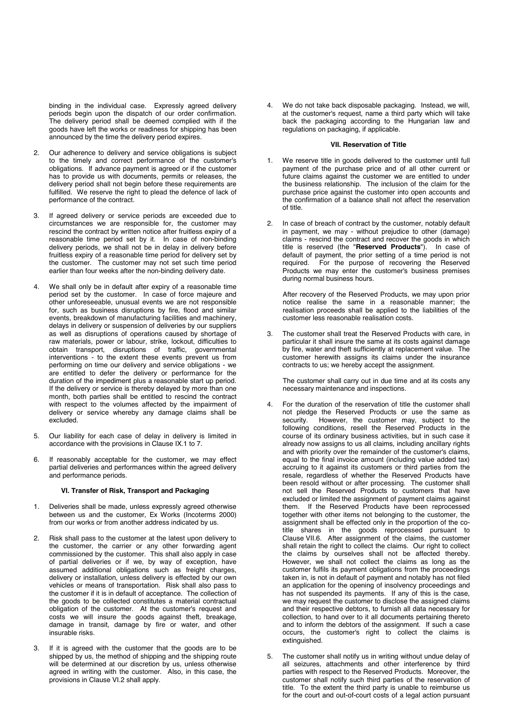binding in the individual case. Expressly agreed delivery periods begin upon the dispatch of our order confirmation. The delivery period shall be deemed complied with if the goods have left the works or readiness for shipping has been announced by the time the delivery period expires.

- 2. Our adherence to delivery and service obligations is subject to the timely and correct performance of the customer's obligations. If advance payment is agreed or if the customer has to provide us with documents, permits or releases, the delivery period shall not begin before these requirements are fulfilled. We reserve the right to plead the defence of lack of performance of the contract.
- If agreed delivery or service periods are exceeded due to circumstances we are responsible for, the customer may rescind the contract by written notice after fruitless expiry of a reasonable time period set by it. In case of non-binding delivery periods, we shall not be in delay in delivery before fruitless expiry of a reasonable time period for delivery set by the customer. The customer may not set such time period earlier than four weeks after the non-binding delivery date.
- We shall only be in default after expiry of a reasonable time period set by the customer. In case of force majeure and other unforeseeable, unusual events we are not responsible for, such as business disruptions by fire, flood and similar events, breakdown of manufacturing facilities and machinery, delays in delivery or suspension of deliveries by our suppliers as well as disruptions of operations caused by shortage of raw materials, power or labour, strike, lockout, difficulties to obtain transport, disruptions of traffic, governmental interventions - to the extent these events prevent us from performing on time our delivery and service obligations - we are entitled to defer the delivery or performance for the duration of the impediment plus a reasonable start up period. If the delivery or service is thereby delayed by more than one month, both parties shall be entitled to rescind the contract with respect to the volumes affected by the impairment of delivery or service whereby any damage claims shall be excluded.
- 5. Our liability for each case of delay in delivery is limited in accordance with the provisions in Clause IX.1 to 7.
- 6. If reasonably acceptable for the customer, we may effect partial deliveries and performances within the agreed delivery and performance periods.

#### **VI. Transfer of Risk, Transport and Packaging**

- 1. Deliveries shall be made, unless expressly agreed otherwise between us and the customer, Ex Works (Incoterms 2000) from our works or from another address indicated by us.
- 2. Risk shall pass to the customer at the latest upon delivery to the customer, the carrier or any other forwarding agent commissioned by the customer. This shall also apply in case of partial deliveries or if we, by way of exception, have assumed additional obligations such as freight charges, delivery or installation, unless delivery is effected by our own vehicles or means of transportation. Risk shall also pass to the customer if it is in default of acceptance. The collection of the goods to be collected constitutes a material contractual obligation of the customer. At the customer's request and costs we will insure the goods against theft, breakage, damage in transit, damage by fire or water, and other insurable risks.
- 3. If it is agreed with the customer that the goods are to be shipped by us, the method of shipping and the shipping route will be determined at our discretion by us, unless otherwise agreed in writing with the customer. Also, in this case, the provisions in Clause VI.2 shall apply.

We do not take back disposable packaging. Instead, we will, at the customer's request, name a third party which will take back the packaging according to the Hungarian law and regulations on packaging, if applicable.

## **VII. Reservation of Title**

- We reserve title in goods delivered to the customer until full payment of the purchase price and of all other current or future claims against the customer we are entitled to under the business relationship. The inclusion of the claim for the purchase price against the customer into open accounts and the confirmation of a balance shall not affect the reservation of title.
- 2. In case of breach of contract by the customer, notably default in payment, we may - without prejudice to other (damage) claims - rescind the contract and recover the goods in which title is reserved (the "**Reserved Products**"). In case of default of payment, the prior setting of a time period is not required. For the purpose of recovering the Reserved Products we may enter the customer's business premises during normal business hours.

After recovery of the Reserved Products, we may upon prior notice realise the same in a reasonable manner; the realisation proceeds shall be applied to the liabilities of the customer less reasonable realisation costs.

The customer shall treat the Reserved Products with care, in particular it shall insure the same at its costs against damage by fire, water and theft sufficiently at replacement value. The customer herewith assigns its claims under the insurance contracts to us; we hereby accept the assignment.

The customer shall carry out in due time and at its costs any necessary maintenance and inspections.

- 4. For the duration of the reservation of title the customer shall not pledge the Reserved Products or use the same as security. However, the customer may, subject to the following conditions, resell the Reserved Products in the course of its ordinary business activities, but in such case it already now assigns to us all claims, including ancillary rights and with priority over the remainder of the customer's claims, equal to the final invoice amount (including value added tax) accruing to it against its customers or third parties from the resale, regardless of whether the Reserved Products have been resold without or after processing. The customer shall not sell the Reserved Products to customers that have excluded or limited the assignment of payment claims against them. If the Reserved Products have been reprocessed together with other items not belonging to the customer, the assignment shall be effected only in the proportion of the cotitle shares in the goods reprocessed pursuant to Clause VII.6. After assignment of the claims, the customer shall retain the right to collect the claims. Our right to collect the claims by ourselves shall not be affected thereby. However, we shall not collect the claims as long as the customer fulfils its payment obligations from the proceedings taken in, is not in default of payment and notably has not filed an application for the opening of insolvency proceedings and has not suspended its payments. If any of this is the case, we may request the customer to disclose the assigned claims and their respective debtors, to furnish all data necessary for collection, to hand over to it all documents pertaining thereto and to inform the debtors of the assignment. If such a case occurs, the customer's right to collect the claims is extinguished.
- 5. The customer shall notify us in writing without undue delay of all seizures, attachments and other interference by third parties with respect to the Reserved Products. Moreover, the customer shall notify such third parties of the reservation of title. To the extent the third party is unable to reimburse us for the court and out-of-court costs of a legal action pursuant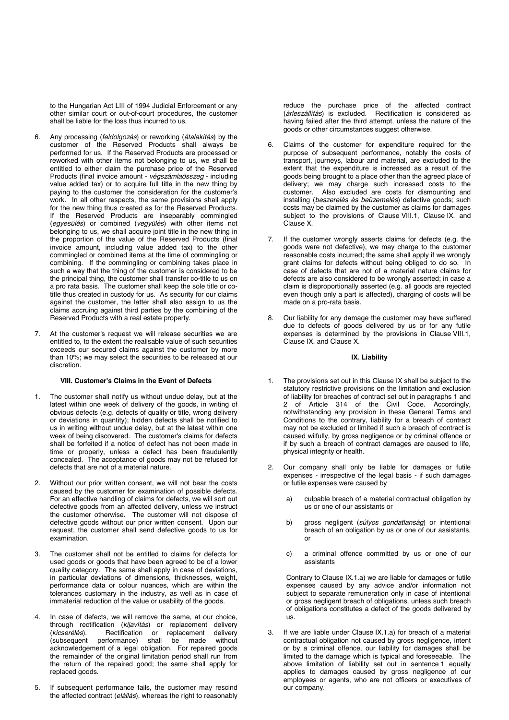to the Hungarian Act LIII of 1994 Judicial Enforcement or any other similar court or out-of-court procedures, the customer shall be liable for the loss thus incurred to us.

- 6. Any processing (*feldolgozás*) or reworking (*átalakítás*) by the customer of the Reserved Products shall always be performed for us. If the Reserved Products are processed or reworked with other items not belonging to us, we shall be entitled to either claim the purchase price of the Reserved Products (final invoice amount - *végszámlaösszeg* - including value added tax) or to acquire full title in the new thing by paying to the customer the consideration for the customer's work. In all other respects, the same provisions shall apply for the new thing thus created as for the Reserved Products. If the Reserved Products are inseparably commingled (*egyesülés*) or combined (*vegyülés*) with other items not belonging to us, we shall acquire joint title in the new thing in the proportion of the value of the Reserved Products (final invoice amount, including value added tax) to the other commingled or combined items at the time of commingling or combining. If the commingling or combining takes place in such a way that the thing of the customer is considered to be the principal thing, the customer shall transfer co-title to us on a pro rata basis. The customer shall keep the sole title or cotitle thus created in custody for us. As security for our claims against the customer, the latter shall also assign to us the claims accruing against third parties by the combining of the Reserved Products with a real estate property.
- At the customer's request we will release securities we are entitled to, to the extent the realisable value of such securities exceeds our secured claims against the customer by more than 10%; we may select the securities to be released at our discretion.

#### **VIII. Customer's Claims in the Event of Defects**

- 1. The customer shall notify us without undue delay, but at the latest within one week of delivery of the goods, in writing of obvious defects (e.g. defects of quality or title, wrong delivery or deviations in quantity); hidden defects shall be notified to us in writing without undue delay, but at the latest within one week of being discovered. The customer's claims for defects shall be forfeited if a notice of defect has not been made in time or properly, unless a defect has been fraudulently concealed. The acceptance of goods may not be refused for defects that are not of a material nature.
- 2. Without our prior written consent, we will not bear the costs caused by the customer for examination of possible defects. For an effective handling of claims for defects, we will sort out defective goods from an affected delivery, unless we instruct the customer otherwise. The customer will not dispose of defective goods without our prior written consent. Upon our request, the customer shall send defective goods to us for examination.
- 3. The customer shall not be entitled to claims for defects for used goods or goods that have been agreed to be of a lower quality category. The same shall apply in case of deviations, in particular deviations of dimensions, thicknesses, weight, performance data or colour nuances, which are within the tolerances customary in the industry, as well as in case of immaterial reduction of the value or usability of the goods.
- 4. In case of defects, we will remove the same, at our choice, through rectification (*kijavítás*) or replacement delivery<br>(*kicserélés*). Rectification or replacement delivery (*kicserélés*). Rectification or replacement delivery performance) shall be made acknowledgement of a legal obligation. For repaired goods the remainder of the original limitation period shall run from the return of the repaired good; the same shall apply for replaced goods.
- 5. If subsequent performance fails, the customer may rescind the affected contract (*elállás*), whereas the right to reasonably

reduce the purchase price of the affected contract (*árleszállítás*) is excluded. Rectification is considered as having failed after the third attempt, unless the nature of the goods or other circumstances suggest otherwise.

- 6. Claims of the customer for expenditure required for the purpose of subsequent performance, notably the costs of transport, journeys, labour and material, are excluded to the extent that the expenditure is increased as a result of the goods being brought to a place other than the agreed place of delivery; we may charge such increased costs to the customer. Also excluded are costs for dismounting and installing (*beszerelés és beüzemelés*) defective goods; such costs may be claimed by the customer as claims for damages subject to the provisions of Clause VIII.1, Clause IX. and Clause X.
- 7. If the customer wrongly asserts claims for defects (e.g. the goods were not defective), we may charge to the customer reasonable costs incurred; the same shall apply if we wrongly grant claims for defects without being obliged to do so. In case of defects that are not of a material nature claims for defects are also considered to be wrongly asserted; in case a claim is disproportionally asserted (e.g. all goods are rejected even though only a part is affected), charging of costs will be made on a pro-rata basis.
- 8. Our liability for any damage the customer may have suffered due to defects of goods delivered by us or for any futile expenses is determined by the provisions in Clause VIII.1, Clause IX. and Clause X.

## **IX. Liability**

- 1. The provisions set out in this Clause IX shall be subject to the statutory restrictive provisions on the limitation and exclusion of liability for breaches of contract set out in paragraphs 1 and 2 of Article 314 of the Civil Code. Accordingly, notwithstanding any provision in these General Terms and Conditions to the contrary, liability for a breach of contract may not be excluded or limited if such a breach of contract is caused wilfully, by gross negligence or by criminal offence or if by such a breach of contract damages are caused to life, physical integrity or health.
- 2. Our company shall only be liable for damages or futile expenses - irrespective of the legal basis - if such damages or futile expenses were caused by
	- a) culpable breach of a material contractual obligation by us or one of our assistants or
	- b) gross negligent (*súlyos gondatlanság*) or intentional breach of an obligation by us or one of our assistants, or
	- c) a criminal offence committed by us or one of our assistants

Contrary to Clause IX.1.a) we are liable for damages or futile expenses caused by any advice and/or information not subject to separate remuneration only in case of intentional or gross negligent breach of obligations, unless such breach of obligations constitutes a defect of the goods delivered by us.

3. If we are liable under Clause IX.1.a) for breach of a material contractual obligation not caused by gross negligence, intent or by a criminal offence, our liability for damages shall be limited to the damage which is typical and foreseeable. The above limitation of liability set out in sentence 1 equally applies to damages caused by gross negligence of our employees or agents, who are not officers or executives of our company.